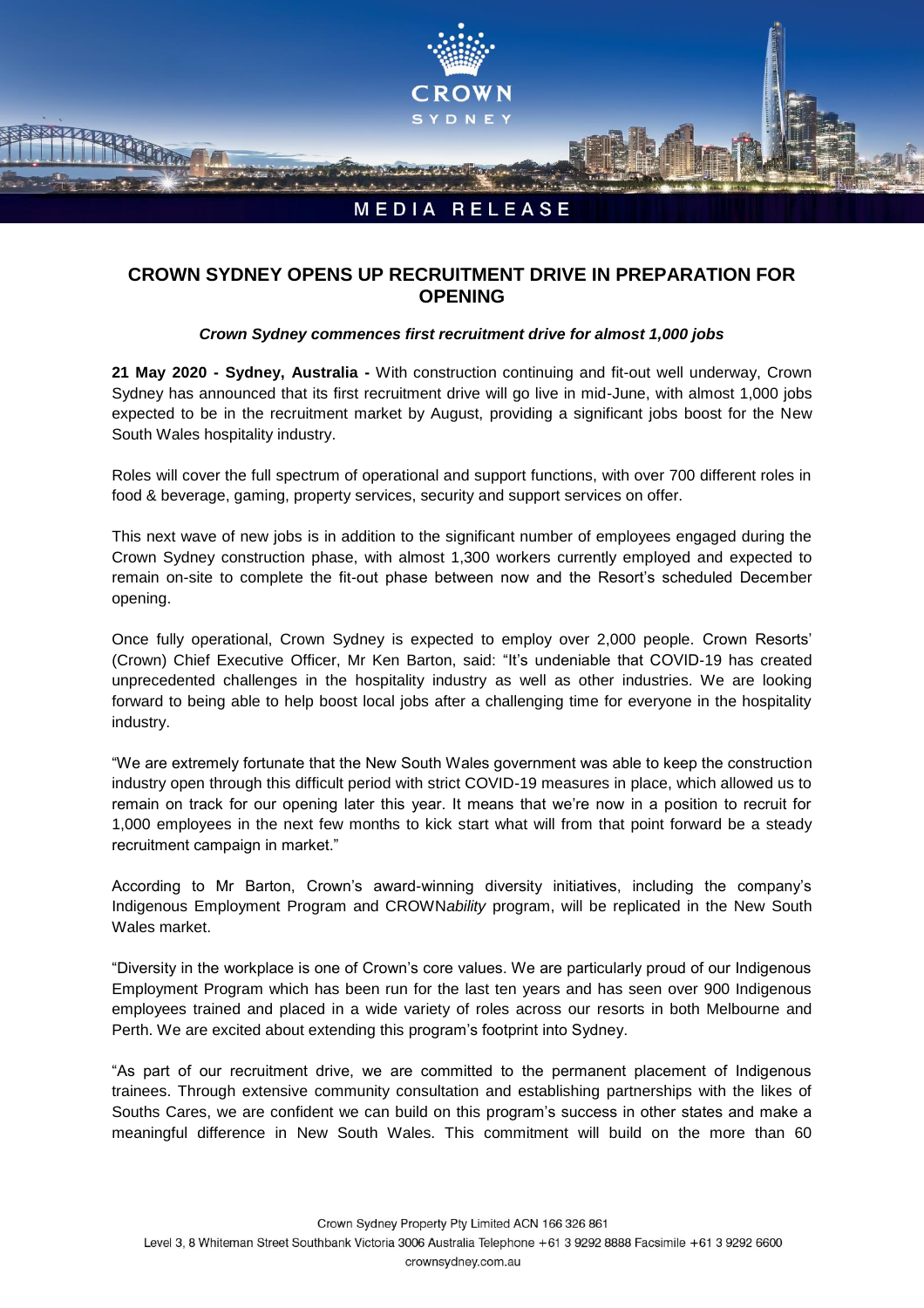

## **CROWN SYDNEY OPENS UP RECRUITMENT DRIVE IN PREPARATION FOR OPENING**

## *Crown Sydney commences first recruitment drive for almost 1,000 jobs*

**21 May 2020 - Sydney, Australia -** With construction continuing and fit-out well underway, Crown Sydney has announced that its first recruitment drive will go live in mid-June, with almost 1,000 jobs expected to be in the recruitment market by August, providing a significant jobs boost for the New South Wales hospitality industry.

Roles will cover the full spectrum of operational and support functions, with over 700 different roles in food & beverage, gaming, property services, security and support services on offer.

This next wave of new jobs is in addition to the significant number of employees engaged during the Crown Sydney construction phase, with almost 1,300 workers currently employed and expected to remain on-site to complete the fit-out phase between now and the Resort's scheduled December opening.

Once fully operational, Crown Sydney is expected to employ over 2,000 people. Crown Resorts' (Crown) Chief Executive Officer, Mr Ken Barton, said: "It's undeniable that COVID-19 has created unprecedented challenges in the hospitality industry as well as other industries. We are looking forward to being able to help boost local jobs after a challenging time for everyone in the hospitality industry.

"We are extremely fortunate that the New South Wales government was able to keep the construction industry open through this difficult period with strict COVID-19 measures in place, which allowed us to remain on track for our opening later this year. It means that we're now in a position to recruit for 1,000 employees in the next few months to kick start what will from that point forward be a steady recruitment campaign in market."

According to Mr Barton, Crown's award-winning diversity initiatives, including the company's Indigenous Employment Program and CROWN*ability* program, will be replicated in the New South Wales market.

"Diversity in the workplace is one of Crown's core values. We are particularly proud of our Indigenous Employment Program which has been run for the last ten years and has seen over 900 Indigenous employees trained and placed in a wide variety of roles across our resorts in both Melbourne and Perth. We are excited about extending this program's footprint into Sydney.

"As part of our recruitment drive, we are committed to the permanent placement of Indigenous trainees. Through extensive community consultation and establishing partnerships with the likes of Souths Cares, we are confident we can build on this program's success in other states and make a meaningful difference in New South Wales. This commitment will build on the more than 60